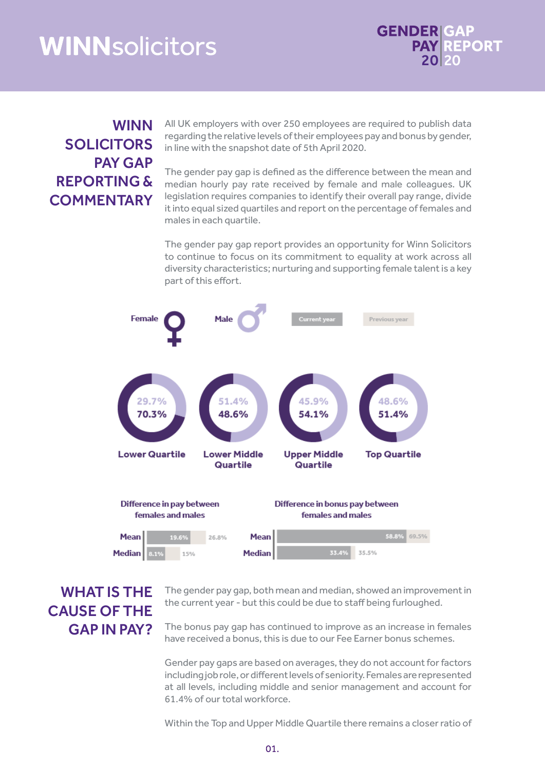# **WINNsolicitors**



### WINN SOLICITORS PAY GAP REPORTING & **COMMENTARY**

All UK employers with over 250 employees are required to publish data regarding the relative levels of their employees pay and bonus by gender, in line with the snapshot date of 5th April 2020.

The gender pay gap is defined as the difference between the mean and median hourly pay rate received by female and male colleagues. UK legislation requires companies to identify their overall pay range, divide it into equal sized quartiles and report on the percentage of females and males in each quartile.

The gender pay gap report provides an opportunity for Winn Solicitors to continue to focus on its commitment to equality at work across all diversity characteristics; nurturing and supporting female talent is a key part of this effort.



## WHAT IS THE CAUSE OF THE GAP IN PAY?

The gender pay gap, both mean and median, showed an improvement in the current year - but this could be due to staff being furloughed.

The bonus pay gap has continued to improve as an increase in females have received a bonus, this is due to our Fee Earner bonus schemes.

Gender pay gaps are based on averages, they do not account for factors including job role, or different levels of seniority. Females are represented at all levels, including middle and senior management and account for 61.4% of our total workforce.

Within the Top and Upper Middle Quartile there remains a closer ratio of